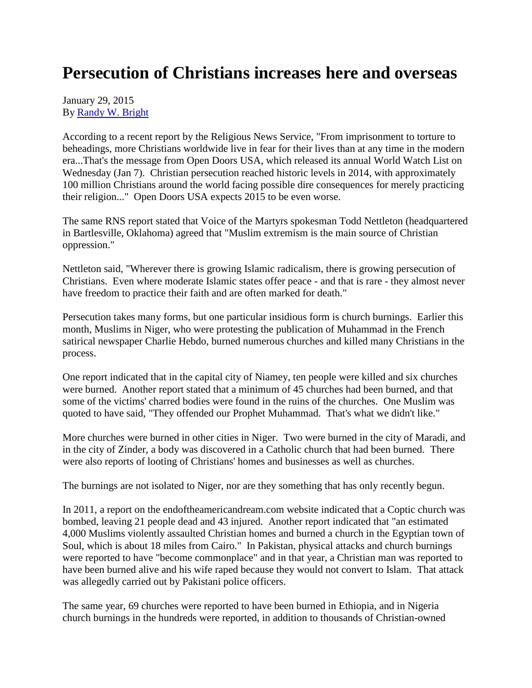## **Persecution of Christians increases here and overseas**

January 29, 2015 By [Randy W. Bright](http://www.tulsabeacon.com/author/slug-o6yd1v)

According to a recent report by the Religious News Service, "From imprisonment to torture to beheadings, more Christians worldwide live in fear for their lives than at any time in the modern era...That's the message from Open Doors USA, which released its annual World Watch List on Wednesday (Jan 7). Christian persecution reached historic levels in 2014, with approximately 100 million Christians around the world facing possible dire consequences for merely practicing their religion..." Open Doors USA expects 2015 to be even worse.

The same RNS report stated that Voice of the Martyrs spokesman Todd Nettleton (headquartered in Bartlesville, Oklahoma) agreed that "Muslim extremism is the main source of Christian oppression."

Nettleton said, "Wherever there is growing Islamic radicalism, there is growing persecution of Christians. Even where moderate Islamic states offer peace - and that is rare - they almost never have freedom to practice their faith and are often marked for death."

Persecution takes many forms, but one particular insidious form is church burnings. Earlier this month, Muslims in Niger, who were protesting the publication of Muhammad in the French satirical newspaper Charlie Hebdo, burned numerous churches and killed many Christians in the process.

One report indicated that in the capital city of Niamey, ten people were killed and six churches were burned. Another report stated that a minimum of 45 churches had been burned, and that some of the victims' charred bodies were found in the ruins of the churches. One Muslim was quoted to have said, "They offended our Prophet Muhammad. That's what we didn't like."

More churches were burned in other cities in Niger. Two were burned in the city of Maradi, and in the city of Zinder, a body was discovered in a Catholic church that had been burned. There were also reports of looting of Christians' homes and businesses as well as churches.

The burnings are not isolated to Niger, nor are they something that has only recently begun.

In 2011, a report on the endoftheamericandream.com website indicated that a Coptic church was bombed, leaving 21 people dead and 43 injured. Another report indicated that "an estimated 4,000 Muslims violently assaulted Christian homes and burned a church in the Egyptian town of Soul, which is about 18 miles from Cairo." In Pakistan, physical attacks and church burnings were reported to have "become commonplace" and in that year, a Christian man was reported to have been burned alive and his wife raped because they would not convert to Islam. That attack was allegedly carried out by Pakistani police officers.

The same year, 69 churches were reported to have been burned in Ethiopia, and in Nigeria church burnings in the hundreds were reported, in addition to thousands of Christian-owned